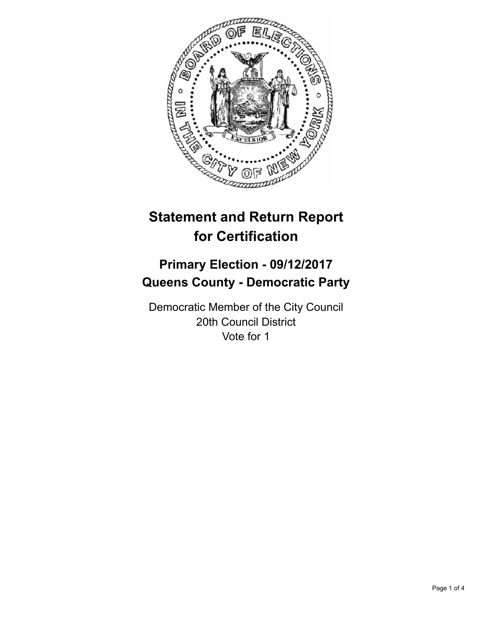

# **Statement and Return Report for Certification**

## **Primary Election - 09/12/2017 Queens County - Democratic Party**

Democratic Member of the City Council 20th Council District Vote for 1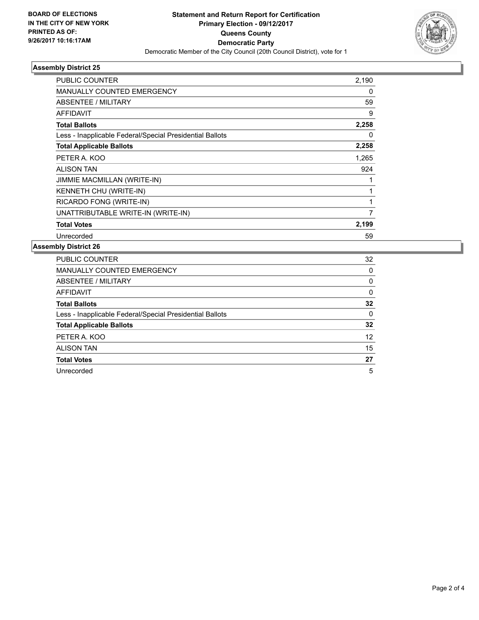

### **Assembly District 25**

| <b>PUBLIC COUNTER</b>                                    | 2,190 |
|----------------------------------------------------------|-------|
| <b>MANUALLY COUNTED EMERGENCY</b>                        | 0     |
| ABSENTEE / MILITARY                                      | 59    |
| AFFIDAVIT                                                | 9     |
| <b>Total Ballots</b>                                     | 2,258 |
| Less - Inapplicable Federal/Special Presidential Ballots | 0     |
| <b>Total Applicable Ballots</b>                          | 2,258 |
| PETER A. KOO                                             | 1,265 |
| <b>ALISON TAN</b>                                        | 924   |
| JIMMIE MACMILLAN (WRITE-IN)                              |       |
| KENNETH CHU (WRITE-IN)                                   |       |
| RICARDO FONG (WRITE-IN)                                  |       |
| UNATTRIBUTABLE WRITE-IN (WRITE-IN)                       | 7     |
| <b>Total Votes</b>                                       | 2,199 |
| Unrecorded                                               | 59    |

### **Assembly District 26**

| <b>PUBLIC COUNTER</b>                                    | 32 |
|----------------------------------------------------------|----|
| MANUALLY COUNTED EMERGENCY                               | 0  |
| ABSENTEE / MILITARY                                      | 0  |
| AFFIDAVIT                                                | 0  |
| <b>Total Ballots</b>                                     | 32 |
| Less - Inapplicable Federal/Special Presidential Ballots | 0  |
| <b>Total Applicable Ballots</b>                          | 32 |
| PETER A. KOO                                             | 12 |
| <b>ALISON TAN</b>                                        | 15 |
| <b>Total Votes</b>                                       | 27 |
| Unrecorded                                               | 5  |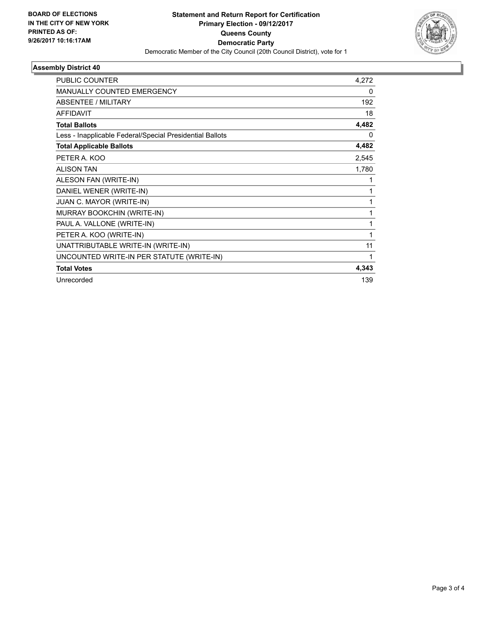

### **Assembly District 40**

| <b>PUBLIC COUNTER</b>                                    | 4,272 |
|----------------------------------------------------------|-------|
| <b>MANUALLY COUNTED EMERGENCY</b>                        | 0     |
| <b>ABSENTEE / MILITARY</b>                               | 192   |
| <b>AFFIDAVIT</b>                                         | 18    |
| <b>Total Ballots</b>                                     | 4,482 |
| Less - Inapplicable Federal/Special Presidential Ballots | 0     |
| <b>Total Applicable Ballots</b>                          | 4,482 |
| PETER A. KOO                                             | 2,545 |
| <b>ALISON TAN</b>                                        | 1,780 |
| ALESON FAN (WRITE-IN)                                    | 1     |
| DANIEL WENER (WRITE-IN)                                  | 1     |
| JUAN C. MAYOR (WRITE-IN)                                 | 1     |
| MURRAY BOOKCHIN (WRITE-IN)                               | 1     |
| PAUL A. VALLONE (WRITE-IN)                               | 1     |
| PETER A. KOO (WRITE-IN)                                  | 1     |
| UNATTRIBUTABLE WRITE-IN (WRITE-IN)                       | 11    |
| UNCOUNTED WRITE-IN PER STATUTE (WRITE-IN)                |       |
| <b>Total Votes</b>                                       | 4,343 |
| Unrecorded                                               | 139   |